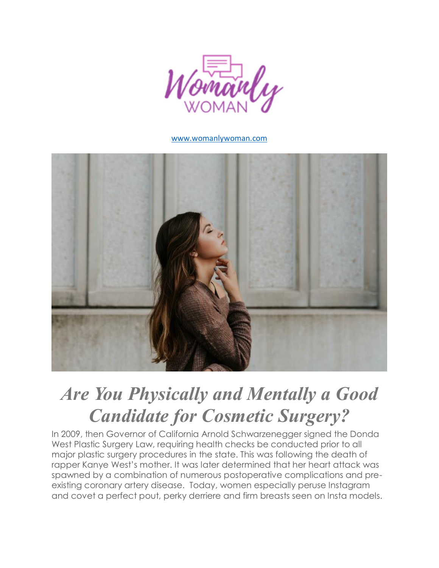

#### [www.womanlywoman.com](http://www.womanlywoman.com/2018/08/are-you-physically-and-mentally-a-good-candidate-for-cosmetic-surgery.html#.W2xeCZNKii5)



# *Are You Physically and Mentally a Good Candidate for Cosmetic Surgery?*

In 2009, then Governor of California Arnold Schwarzenegger signed the Donda West Plastic Surgery Law, requiring health checks be conducted prior to all major plastic surgery procedures in the state. This was following the death of rapper Kanye West's mother. It was later determined that her heart attack was spawned by a combination of numerous postoperative complications and preexisting coronary artery disease. Today, women especially peruse Instagram and covet a perfect pout, perky derriere and firm breasts seen on Insta models.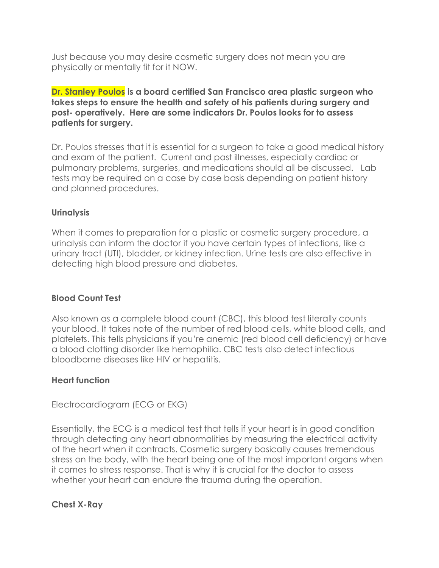Just because you may desire cosmetic surgery does not mean you are physically or mentally fit for it NOW.

**Dr. Stanley Poulos is a board certified San Francisco area plastic surgeon who takes steps to ensure the health and safety of his patients during surgery and post- operatively. Here are some indicators Dr. Poulos looks for to assess patients for surgery.**

Dr. Poulos stresses that it is essential for a surgeon to take a good medical history and exam of the patient. Current and past illnesses, especially cardiac or pulmonary problems, surgeries, and medications should all be discussed. Lab tests may be required on a case by case basis depending on patient history and planned procedures.

## **Urinalysis**

When it comes to preparation for a plastic or cosmetic surgery procedure, a urinalysis can inform the doctor if you have certain types of infections, like a urinary tract (UTI), bladder, or kidney infection. Urine tests are also effective in detecting high blood pressure and diabetes.

## **Blood Count Test**

Also known as a complete blood count (CBC), this blood test literally counts your blood. It takes note of the number of red blood cells, white blood cells, and platelets. This tells physicians if you're anemic (red blood cell deficiency) or have a blood clotting disorder like hemophilia. CBC tests also detect infectious bloodborne diseases like HIV or hepatitis.

#### **Heart function**

Electrocardiogram (ECG or EKG)

Essentially, the ECG is a medical test that tells if your heart is in good condition through detecting any heart abnormalities by measuring the electrical activity of the heart when it contracts. Cosmetic surgery basically causes tremendous stress on the body, with the heart being one of the most important organs when it comes to stress response. That is why it is crucial for the doctor to assess whether your heart can endure the trauma during the operation.

**Chest X-Ray**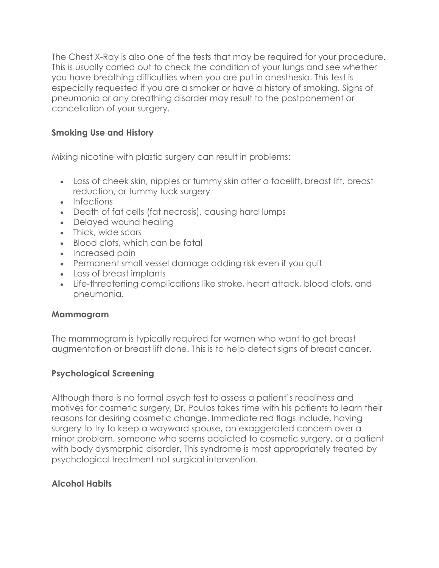The Chest X-Ray is also one of the tests that may be required for your procedure. This is usually carried out to check the condition of your lungs and see whether you have breathing difficulties when you are put in anesthesia. This test is especially requested if you are a smoker or have a history of smoking. Signs of pneumonia or any breathing disorder may result to the postponement or cancellation of your surgery.

# **Smoking Use and History**

Mixing nicotine with plastic surgery can result in problems:

- Loss of cheek skin, nipples or tummy skin after a facelift, breast lift, breast reduction, or tummy tuck surgery
- Infections
- Death of fat cells (fat necrosis), causing hard lumps
- Delayed wound healing
- Thick, wide scars
- Blood clots, which can be fatal
- Increased pain
- Permanent small vessel damage adding risk even if you quit
- Loss of breast implants
- Life-threatening complications like stroke, heart attack, blood clots, and pneumonia.

## **Mammogram**

The mammogram is typically required for women who want to get breast augmentation or breast lift done. This is to help detect signs of breast cancer.

## **Psychological Screening**

Although there is no formal psych test to assess a patient's readiness and motives for cosmetic surgery, Dr. Poulos takes time with his patients to learn their reasons for desiring cosmetic change. Immediate red flags include, having surgery to try to keep a wayward spouse, an exaggerated concern over a minor problem, someone who seems addicted to cosmetic surgery, or a patient with body dysmorphic disorder. This syndrome is most appropriately treated by psychological treatment not surgical intervention.

## **Alcohol Habits**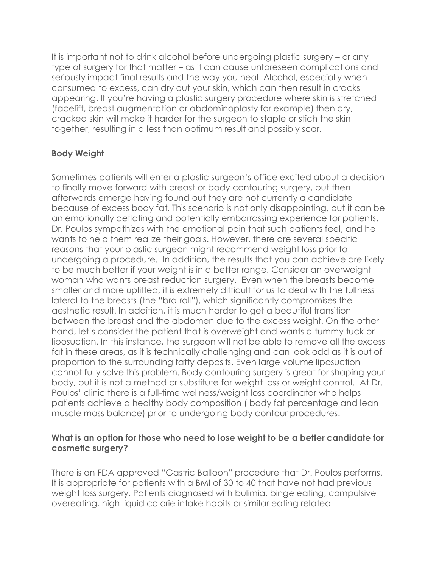It is important not to drink alcohol before undergoing plastic surgery – or any type of surgery for that matter – as it can cause unforeseen complications and seriously impact final results and the way you heal. Alcohol, especially when consumed to excess, can dry out your skin, which can then result in cracks appearing. If you're having a plastic surgery procedure where skin is stretched (facelift, breast augmentation or abdominoplasty for example) then dry, cracked skin will make it harder for the surgeon to staple or stich the skin together, resulting in a less than optimum result and possibly scar.

## **Body Weight**

Sometimes patients will enter a plastic surgeon's office excited about a decision to finally move forward with breast or body contouring surgery, but then afterwards emerge having found out they are not currently a candidate because of excess body fat. This scenario is not only disappointing, but it can be an emotionally deflating and potentially embarrassing experience for patients. Dr. Poulos sympathizes with the emotional pain that such patients feel, and he wants to help them realize their goals. However, there are several specific reasons that your plastic surgeon might recommend weight loss prior to undergoing a procedure. In addition, the results that you can achieve are likely to be much better if your weight is in a better range. Consider an overweight woman who wants breast reduction surgery. Even when the breasts become smaller and more uplifted, it is extremely difficult for us to deal with the fullness lateral to the breasts (the "bra roll"), which significantly compromises the aesthetic result. In addition, it is much harder to get a beautiful transition between the breast and the abdomen due to the excess weight. On the other hand, let's consider the patient that is overweight and wants a tummy tuck or liposuction. In this instance, the surgeon will not be able to remove all the excess fat in these areas, as it is technically challenging and can look odd as it is out of proportion to the surrounding fatty deposits. Even large volume liposuction cannot fully solve this problem. Body contouring surgery is great for shaping your body, but it is not a method or substitute for weight loss or weight control. At Dr. Poulos' clinic there is a full-time wellness/weight loss coordinator who helps patients achieve a healthy body composition ( body fat percentage and lean muscle mass balance) prior to undergoing body contour procedures.

#### **What is an option for those who need to lose weight to be a better candidate for cosmetic surgery?**

There is an FDA approved "Gastric Balloon" procedure that Dr. Poulos performs. It is appropriate for patients with a BMI of 30 to 40 that have not had previous weight loss surgery. Patients diagnosed with bulimia, binge eating, compulsive overeating, high liquid calorie intake habits or similar eating related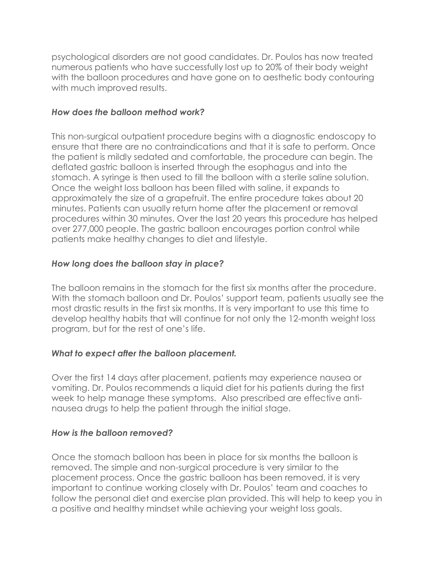psychological disorders are not good candidates. Dr. Poulos has now treated numerous patients who have successfully lost up to 20% of their body weight with the balloon procedures and have gone on to aesthetic body contouring with much improved results.

#### *How does the balloon method work?*

This non-surgical outpatient procedure begins with a diagnostic endoscopy to ensure that there are no contraindications and that it is safe to perform. Once the patient is mildly sedated and comfortable, the procedure can begin. The deflated gastric balloon is inserted through the esophagus and into the stomach. A syringe is then used to fill the balloon with a sterile saline solution. Once the weight loss balloon has been filled with saline, it expands to approximately the size of a grapefruit. The entire procedure takes about 20 minutes. Patients can usually return home after the placement or removal procedures within 30 minutes. Over the last 20 years this procedure has helped over 277,000 people. The gastric balloon encourages portion control while patients make healthy changes to diet and lifestyle.

## *How long does the balloon stay in place?*

The balloon remains in the stomach for the first six months after the procedure. With the stomach balloon and Dr. Poulos' support team, patients usually see the most drastic results in the first six months. It is very important to use this time to develop healthy habits that will continue for not only the 12-month weight loss program, but for the rest of one's life.

## *What to expect after the balloon placement.*

Over the first 14 days after placement, patients may experience nausea or vomiting. Dr. Poulos recommends a liquid diet for his patients during the first week to help manage these symptoms. Also prescribed are effective antinausea drugs to help the patient through the initial stage.

## *How is the balloon removed?*

Once the stomach balloon has been in place for six months the balloon is removed. The simple and non-surgical procedure is very similar to the placement process. Once the gastric balloon has been removed, it is very important to continue working closely with Dr. Poulos' team and coaches to follow the personal diet and exercise plan provided. This will help to keep you in a positive and healthy mindset while achieving your weight loss goals.